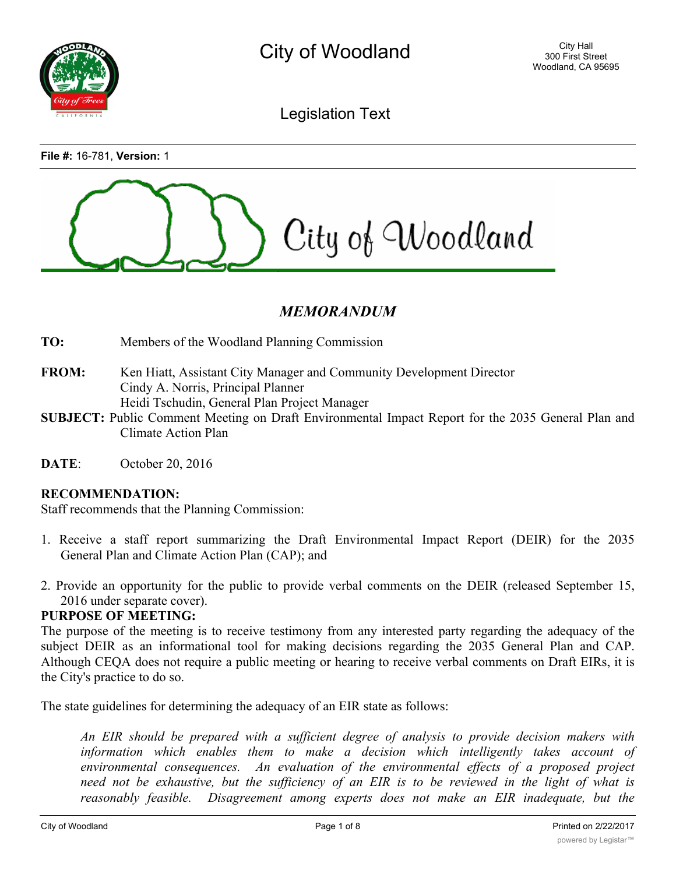

Legislation Text

**File #:** 16-781, **Version:** 1



# *MEMORANDUM*

**TO:** Members of the Woodland Planning Commission

- **FROM:** Ken Hiatt, Assistant City Manager and Community Development Director Cindy A. Norris, Principal Planner Heidi Tschudin, General Plan Project Manager
- **SUBJECT:** Public Comment Meeting on Draft Environmental Impact Report for the 2035 General Plan and Climate Action Plan
- **DATE**: October 20, 2016

## **RECOMMENDATION:**

Staff recommends that the Planning Commission:

- 1. Receive a staff report summarizing the Draft Environmental Impact Report (DEIR) for the 2035 General Plan and Climate Action Plan (CAP); and
- 2. Provide an opportunity for the public to provide verbal comments on the DEIR (released September 15, 2016 under separate cover).

#### **PURPOSE OF MEETING:**

The purpose of the meeting is to receive testimony from any interested party regarding the adequacy of the subject DEIR as an informational tool for making decisions regarding the 2035 General Plan and CAP. Although CEQA does not require a public meeting or hearing to receive verbal comments on Draft EIRs, it is the City's practice to do so.

The state guidelines for determining the adequacy of an EIR state as follows:

*An EIR should be prepared with a sufficient degree of analysis to provide decision makers with information which enables them to make a decision which intelligently takes account of environmental consequences. An evaluation of the environmental effects of a proposed project* need not be exhaustive, but the sufficiency of an EIR is to be reviewed in the light of what is *reasonably feasible. Disagreement among experts does not make an EIR inadequate, but the*

*EIR should summarize the main points of disagreement among the experts. The courts have*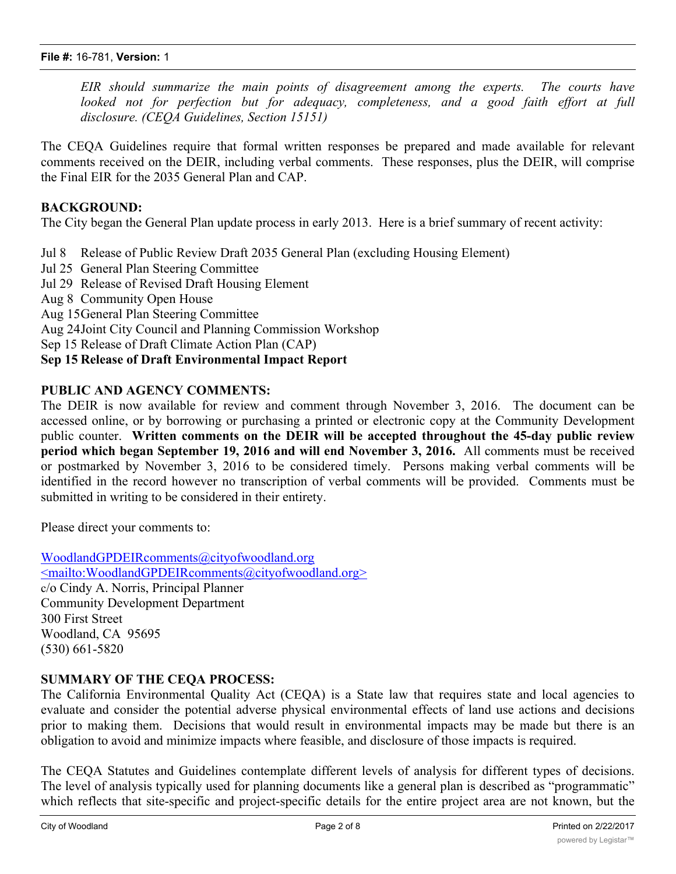*EIR should summarize the main points of disagreement among the experts. The courts have looked not for perfection but for adequacy, completeness, and a good faith effort at full disclosure. (CEQA Guidelines, Section 15151)*

The CEQA Guidelines require that formal written responses be prepared and made available for relevant comments received on the DEIR, including verbal comments. These responses, plus the DEIR, will comprise the Final EIR for the 2035 General Plan and CAP.

## **BACKGROUND:**

The City began the General Plan update process in early 2013. Here is a brief summary of recent activity:

- Jul 8 Release of Public Review Draft 2035 General Plan (excluding Housing Element)
- Jul 25 General Plan Steering Committee
- Jul 29 Release of Revised Draft Housing Element
- Aug 8 Community Open House

Aug 15General Plan Steering Committee

Aug 24Joint City Council and Planning Commission Workshop

Sep 15 Release of Draft Climate Action Plan (CAP)

## **Sep 15 Release of Draft Environmental Impact Report**

## **PUBLIC AND AGENCY COMMENTS:**

The DEIR is now available for review and comment through November 3, 2016. The document can be accessed online, or by borrowing or purchasing a printed or electronic copy at the Community Development public counter. **Written comments on the DEIR will be accepted throughout the 45-day public review period which began September 19, 2016 and will end November 3, 2016.** All comments must be received or postmarked by November 3, 2016 to be considered timely. Persons making verbal comments will be identified in the record however no transcription of verbal comments will be provided. Comments must be submitted in writing to be considered in their entirety.

Please direct your comments to:

WoodlandGPDEIRcomments@cityofwoodland.org <mailto:WoodlandGPDEIRcomments@cityofwoodland.org> c/o Cindy A. Norris, Principal Planner Community Development Department 300 First Street Woodland, CA 95695 (530) 661-5820

## **SUMMARY OF THE CEQA PROCESS:**

The California Environmental Quality Act (CEQA) is a State law that requires state and local agencies to evaluate and consider the potential adverse physical environmental effects of land use actions and decisions prior to making them. Decisions that would result in environmental impacts may be made but there is an obligation to avoid and minimize impacts where feasible, and disclosure of those impacts is required.

The CEQA Statutes and Guidelines contemplate different levels of analysis for different types of decisions. The level of analysis typically used for planning documents like a general plan is described as "programmatic" which reflects that site-specific and project-specific details for the entire project area are not known, but the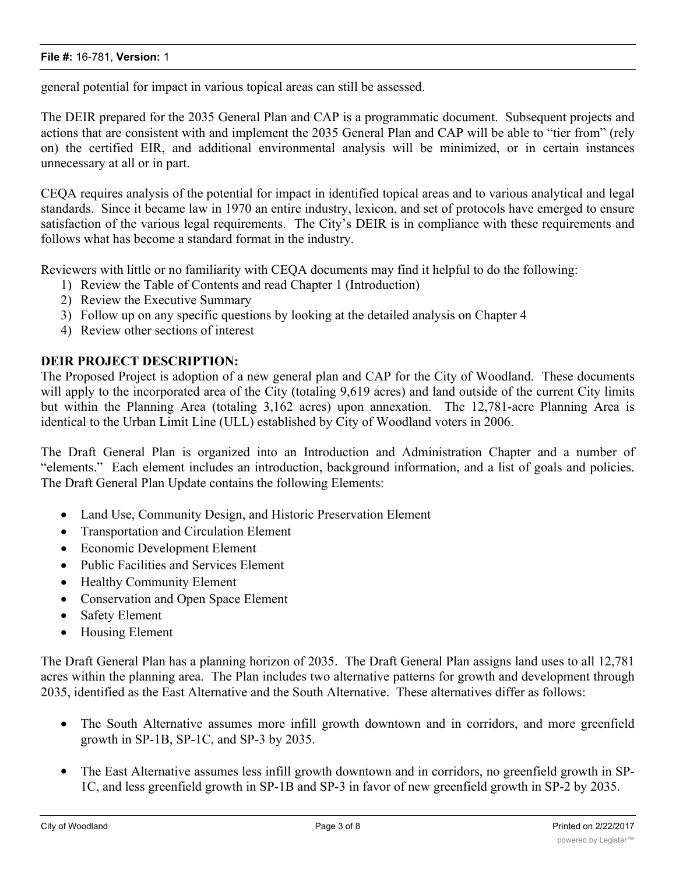general potential for impact in various topical areas can still be assessed.

The DEIR prepared for the 2035 General Plan and CAP is a programmatic document. Subsequent projects and actions that are consistent with and implement the 2035 General Plan and CAP will be able to "tier from" (rely on) the certified EIR, and additional environmental analysis will be minimized, or in certain instances unnecessary at all or in part.

CEQA requires analysis of the potential for impact in identified topical areas and to various analytical and legal standards. Since it became law in 1970 an entire industry, lexicon, and set of protocols have emerged to ensure satisfaction of the various legal requirements. The City's DEIR is in compliance with these requirements and follows what has become a standard format in the industry.

Reviewers with little or no familiarity with CEQA documents may find it helpful to do the following:

- 1) Review the Table of Contents and read Chapter 1 (Introduction)
- 2) Review the Executive Summary
- 3) Follow up on any specific questions by looking at the detailed analysis on Chapter 4
- 4) Review other sections of interest

## **DEIR PROJECT DESCRIPTION:**

The Proposed Project is adoption of a new general plan and CAP for the City of Woodland. These documents will apply to the incorporated area of the City (totaling 9,619 acres) and land outside of the current City limits but within the Planning Area (totaling 3,162 acres) upon annexation. The 12,781-acre Planning Area is identical to the Urban Limit Line (ULL) established by City of Woodland voters in 2006.

The Draft General Plan is organized into an Introduction and Administration Chapter and a number of "elements." Each element includes an introduction, background information, and a list of goals and policies. The Draft General Plan Update contains the following Elements:

- · Land Use, Community Design, and Historic Preservation Element
- · Transportation and Circulation Element
- Economic Development Element
- · Public Facilities and Services Element
- · Healthy Community Element
- · Conservation and Open Space Element
- Safety Element
- Housing Element

The Draft General Plan has a planning horizon of 2035. The Draft General Plan assigns land uses to all 12,781 acres within the planning area. The Plan includes two alternative patterns for growth and development through 2035, identified as the East Alternative and the South Alternative. These alternatives differ as follows:

- The South Alternative assumes more infill growth downtown and in corridors, and more greenfield growth in SP-1B, SP-1C, and SP-3 by 2035.
- The East Alternative assumes less infill growth downtown and in corridors, no greenfield growth in SP-1C, and less greenfield growth in SP-1B and SP-3 in favor of new greenfield growth in SP-2 by 2035.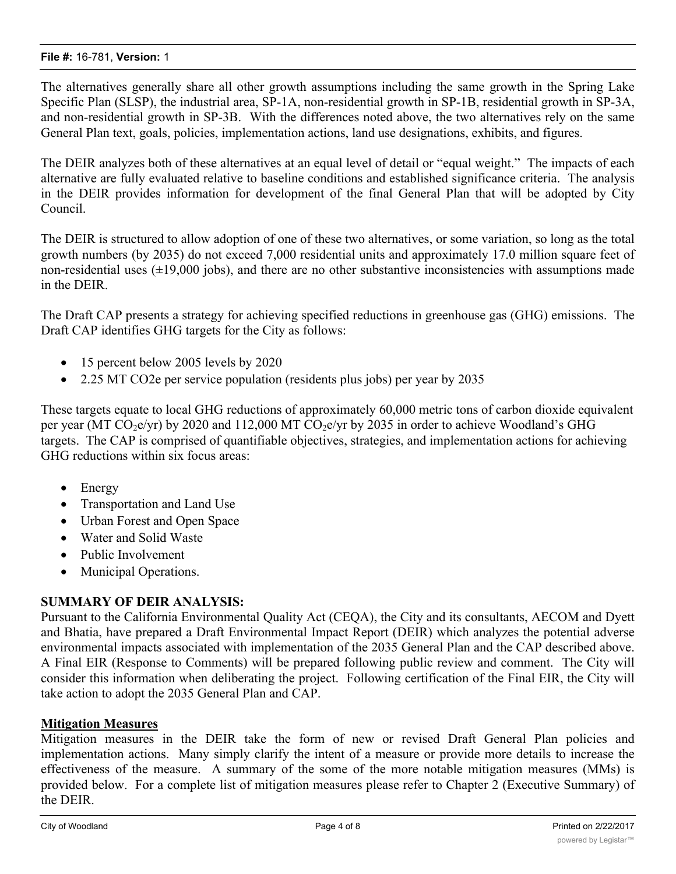The alternatives generally share all other growth assumptions including the same growth in the Spring Lake Specific Plan (SLSP), the industrial area, SP-1A, non-residential growth in SP-1B, residential growth in SP-3A, and non-residential growth in SP-3B. With the differences noted above, the two alternatives rely on the same General Plan text, goals, policies, implementation actions, land use designations, exhibits, and figures.

The DEIR analyzes both of these alternatives at an equal level of detail or "equal weight." The impacts of each alternative are fully evaluated relative to baseline conditions and established significance criteria. The analysis in the DEIR provides information for development of the final General Plan that will be adopted by City Council.

The DEIR is structured to allow adoption of one of these two alternatives, or some variation, so long as the total growth numbers (by 2035) do not exceed 7,000 residential units and approximately 17.0 million square feet of non-residential uses  $(\pm 19,000)$  jobs), and there are no other substantive inconsistencies with assumptions made in the DEIR.

The Draft CAP presents a strategy for achieving specified reductions in greenhouse gas (GHG) emissions. The Draft CAP identifies GHG targets for the City as follows:

- 15 percent below 2005 levels by 2020
- · 2.25 MT CO2e per service population (residents plus jobs) per year by 2035

These targets equate to local GHG reductions of approximately 60,000 metric tons of carbon dioxide equivalent per year (MT  $CO<sub>2</sub>e/yr$ ) by 2020 and 112,000 MT  $CO<sub>2</sub>e/yr$  by 2035 in order to achieve Woodland's GHG targets. The CAP is comprised of quantifiable objectives, strategies, and implementation actions for achieving GHG reductions within six focus areas:

- Energy
- · Transportation and Land Use
- · Urban Forest and Open Space
- · Water and Solid Waste
- Public Involvement
- Municipal Operations.

## **SUMMARY OF DEIR ANALYSIS:**

Pursuant to the California Environmental Quality Act (CEQA), the City and its consultants, AECOM and Dyett and Bhatia, have prepared a Draft Environmental Impact Report (DEIR) which analyzes the potential adverse environmental impacts associated with implementation of the 2035 General Plan and the CAP described above. A Final EIR (Response to Comments) will be prepared following public review and comment. The City will consider this information when deliberating the project. Following certification of the Final EIR, the City will take action to adopt the 2035 General Plan and CAP.

## **Mitigation Measures**

Mitigation measures in the DEIR take the form of new or revised Draft General Plan policies and implementation actions. Many simply clarify the intent of a measure or provide more details to increase the effectiveness of the measure. A summary of the some of the more notable mitigation measures (MMs) is provided below. For a complete list of mitigation measures please refer to Chapter 2 (Executive Summary) of the DEIR.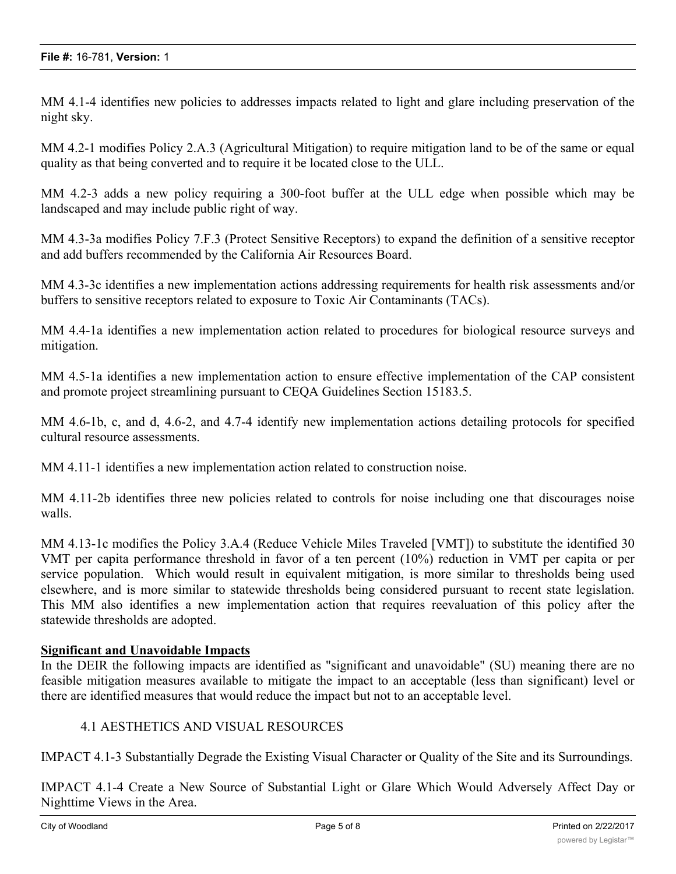MM 4.1-4 identifies new policies to addresses impacts related to light and glare including preservation of the night sky.

MM 4.2-1 modifies Policy 2.A.3 (Agricultural Mitigation) to require mitigation land to be of the same or equal quality as that being converted and to require it be located close to the ULL.

MM 4.2-3 adds a new policy requiring a 300-foot buffer at the ULL edge when possible which may be landscaped and may include public right of way.

MM 4.3-3a modifies Policy 7.F.3 (Protect Sensitive Receptors) to expand the definition of a sensitive receptor and add buffers recommended by the California Air Resources Board.

MM 4.3-3c identifies a new implementation actions addressing requirements for health risk assessments and/or buffers to sensitive receptors related to exposure to Toxic Air Contaminants (TACs).

MM 4.4-1a identifies a new implementation action related to procedures for biological resource surveys and mitigation.

MM 4.5-1a identifies a new implementation action to ensure effective implementation of the CAP consistent and promote project streamlining pursuant to CEQA Guidelines Section 15183.5.

MM 4.6-1b, c, and d, 4.6-2, and 4.7-4 identify new implementation actions detailing protocols for specified cultural resource assessments.

MM 4.11-1 identifies a new implementation action related to construction noise.

MM 4.11-2b identifies three new policies related to controls for noise including one that discourages noise walls.

MM 4.13-1c modifies the Policy 3.A.4 (Reduce Vehicle Miles Traveled [VMT]) to substitute the identified 30 VMT per capita performance threshold in favor of a ten percent (10%) reduction in VMT per capita or per service population. Which would result in equivalent mitigation, is more similar to thresholds being used elsewhere, and is more similar to statewide thresholds being considered pursuant to recent state legislation. This MM also identifies a new implementation action that requires reevaluation of this policy after the statewide thresholds are adopted.

## **Significant and Unavoidable Impacts**

In the DEIR the following impacts are identified as "significant and unavoidable" (SU) meaning there are no feasible mitigation measures available to mitigate the impact to an acceptable (less than significant) level or there are identified measures that would reduce the impact but not to an acceptable level.

## 4.1 AESTHETICS AND VISUAL RESOURCES

IMPACT 4.1-3 Substantially Degrade the Existing Visual Character or Quality of the Site and its Surroundings.

IMPACT 4.1-4 Create a New Source of Substantial Light or Glare Which Would Adversely Affect Day or Nighttime Views in the Area.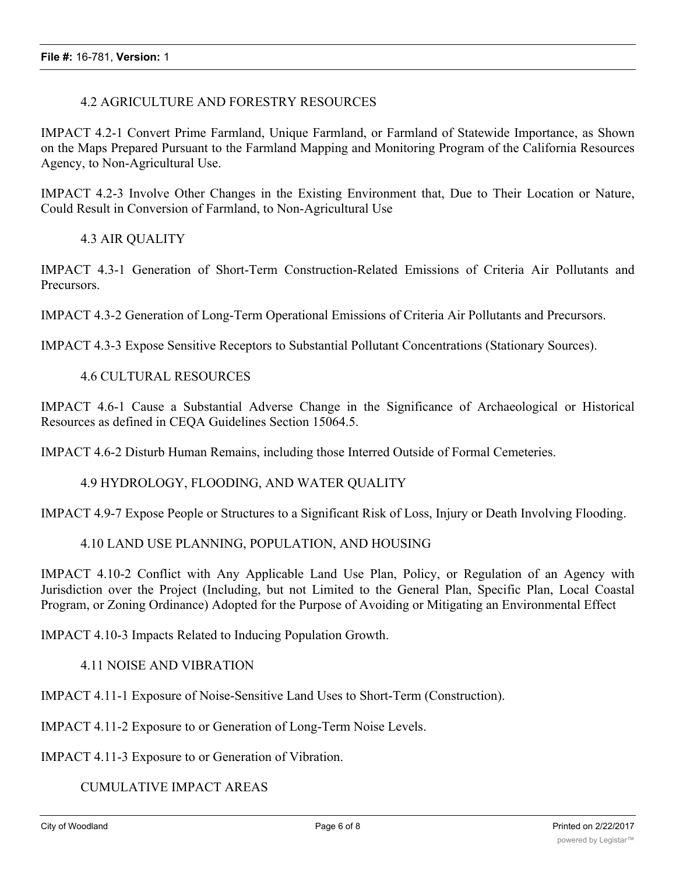#### 4.2 AGRICULTURE AND FORESTRY RESOURCES

IMPACT 4.2-1 Convert Prime Farmland, Unique Farmland, or Farmland of Statewide Importance, as Shown on the Maps Prepared Pursuant to the Farmland Mapping and Monitoring Program of the California Resources Agency, to Non-Agricultural Use.

IMPACT 4.2-3 Involve Other Changes in the Existing Environment that, Due to Their Location or Nature, Could Result in Conversion of Farmland, to Non-Agricultural Use

#### 4.3 AIR QUALITY

IMPACT 4.3-1 Generation of Short-Term Construction-Related Emissions of Criteria Air Pollutants and Precursors.

IMPACT 4.3-2 Generation of Long-Term Operational Emissions of Criteria Air Pollutants and Precursors.

IMPACT 4.3-3 Expose Sensitive Receptors to Substantial Pollutant Concentrations (Stationary Sources).

#### 4.6 CULTURAL RESOURCES

IMPACT 4.6-1 Cause a Substantial Adverse Change in the Significance of Archaeological or Historical Resources as defined in CEQA Guidelines Section 15064.5.

IMPACT 4.6-2 Disturb Human Remains, including those Interred Outside of Formal Cemeteries.

#### 4.9 HYDROLOGY, FLOODING, AND WATER QUALITY

IMPACT 4.9-7 Expose People or Structures to a Significant Risk of Loss, Injury or Death Involving Flooding.

#### 4.10 LAND USE PLANNING, POPULATION, AND HOUSING

IMPACT 4.10-2 Conflict with Any Applicable Land Use Plan, Policy, or Regulation of an Agency with Jurisdiction over the Project (Including, but not Limited to the General Plan, Specific Plan, Local Coastal Program, or Zoning Ordinance) Adopted for the Purpose of Avoiding or Mitigating an Environmental Effect

IMPACT 4.10-3 Impacts Related to Inducing Population Growth.

#### 4.11 NOISE AND VIBRATION

IMPACT 4.11-1 Exposure of Noise-Sensitive Land Uses to Short-Term (Construction).

IMPACT 4.11-2 Exposure to or Generation of Long-Term Noise Levels.

IMPACT 4.11-3 Exposure to or Generation of Vibration.

CUMULATIVE IMPACT AREAS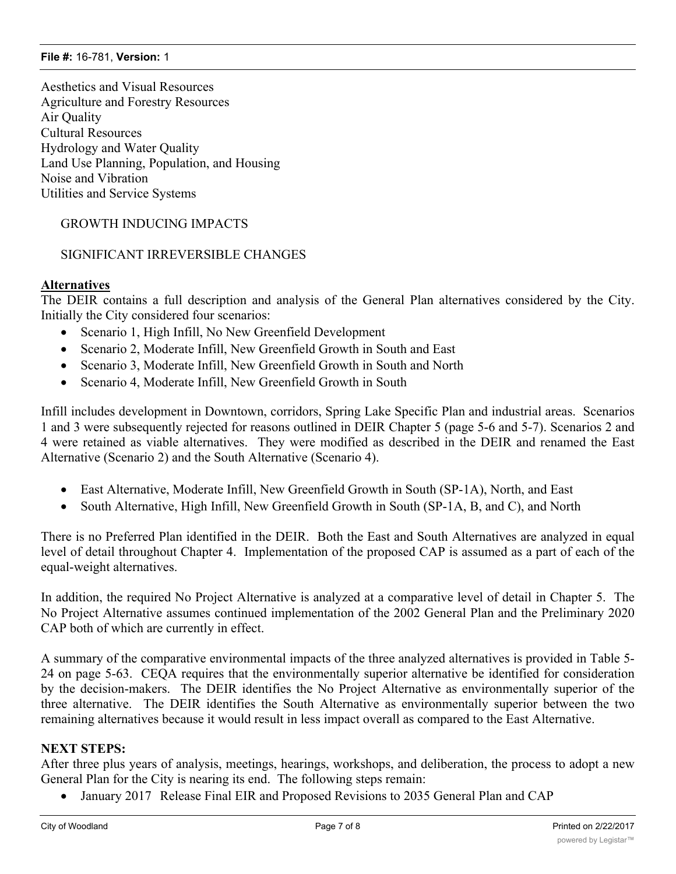Aesthetics and Visual Resources Agriculture and Forestry Resources Air Quality Cultural Resources Hydrology and Water Quality Land Use Planning, Population, and Housing Noise and Vibration Utilities and Service Systems

GROWTH INDUCING IMPACTS

## SIGNIFICANT IRREVERSIBLE CHANGES

## **Alternatives**

The DEIR contains a full description and analysis of the General Plan alternatives considered by the City. Initially the City considered four scenarios:

- Scenario 1, High Infill, No New Greenfield Development
- Scenario 2, Moderate Infill, New Greenfield Growth in South and East
- · Scenario 3, Moderate Infill, New Greenfield Growth in South and North
- · Scenario 4, Moderate Infill, New Greenfield Growth in South

Infill includes development in Downtown, corridors, Spring Lake Specific Plan and industrial areas. Scenarios 1 and 3 were subsequently rejected for reasons outlined in DEIR Chapter 5 (page 5-6 and 5-7). Scenarios 2 and 4 were retained as viable alternatives. They were modified as described in the DEIR and renamed the East Alternative (Scenario 2) and the South Alternative (Scenario 4).

- East Alternative, Moderate Infill, New Greenfield Growth in South (SP-1A), North, and East
- South Alternative, High Infill, New Greenfield Growth in South (SP-1A, B, and C), and North

There is no Preferred Plan identified in the DEIR. Both the East and South Alternatives are analyzed in equal level of detail throughout Chapter 4. Implementation of the proposed CAP is assumed as a part of each of the equal-weight alternatives.

In addition, the required No Project Alternative is analyzed at a comparative level of detail in Chapter 5. The No Project Alternative assumes continued implementation of the 2002 General Plan and the Preliminary 2020 CAP both of which are currently in effect.

A summary of the comparative environmental impacts of the three analyzed alternatives is provided in Table 5- 24 on page 5-63. CEQA requires that the environmentally superior alternative be identified for consideration by the decision-makers. The DEIR identifies the No Project Alternative as environmentally superior of the three alternative. The DEIR identifies the South Alternative as environmentally superior between the two remaining alternatives because it would result in less impact overall as compared to the East Alternative.

## **NEXT STEPS:**

After three plus years of analysis, meetings, hearings, workshops, and deliberation, the process to adopt a new General Plan for the City is nearing its end. The following steps remain:

January 2017 Release Final EIR and Proposed Revisions to 2035 General Plan and CAP